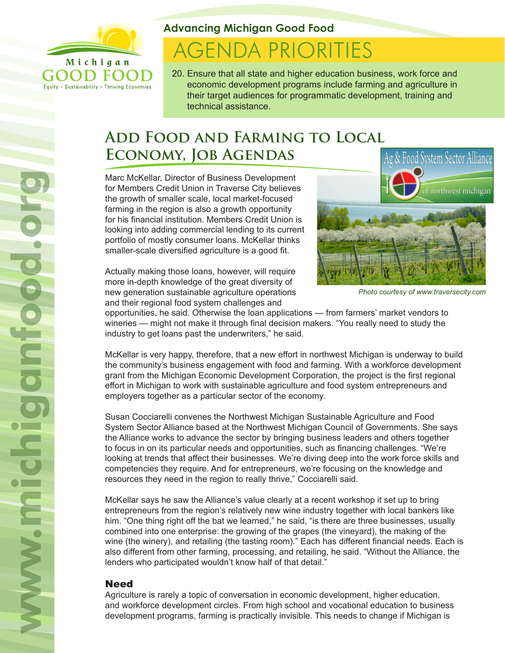

F

Equity . Sustainability . Thriving Economies

### **Advancing Michigan Good Food**

# **AGENDA PRIORITIES**

20. Ensure that all state and higher education business, work force and economic development programs include farming and agriculture in their target audiences for programmatic development, training and technical assistance.

## **Add Food and Farming to Local Economy, Job Agendas**

Marc McKellar, Director of Business Development for Members Credit Union in Traverse City believes the growth of smaller scale, local market-focused farming in the region is also a growth opportunity for his financial institution. Members Credit Union is looking into adding commercial lending to its current portfolio of mostly consumer loans. McKellar thinks smaller-scale diversified agriculture is a good fit.

Actually making those loans, however, will require more in-depth knowledge of the great diversity of new generation sustainable agriculture operations and their regional food system challenges and



*Photo courtesy of www.traversecity.com*

opportunities, he said. Otherwise the loan applications — from farmers' market vendors to wineries — might not make it through final decision makers. "You really need to study the industry to get loans past the underwriters," he said.

McKellar is very happy, therefore, that a new effort in northwest Michigan is underway to build the community's business engagement with food and farming. With a workforce development grant from the Michigan Economic Development Corporation, the project is the first regional effort in Michigan to work with sustainable agriculture and food system entrepreneurs and employers together as a particular sector of the economy.

Susan Cocciarelli convenes the Northwest Michigan Sustainable Agriculture and Food System Sector Alliance based at the Northwest Michigan Council of Governments. She says the Alliance works to advance the sector by bringing business leaders and others together to focus in on its particular needs and opportunities, such as financing challenges. "We're looking at trends that affect their businesses. We're diving deep into the work force skills and competencies they require. And for entrepreneurs, we're focusing on the knowledge and resources they need in the region to really thrive," Cocciarelli said.

McKellar says he saw the Alliance's value clearly at a recent workshop it set up to bring entrepreneurs from the region's relatively new wine industry together with local bankers like him. "One thing right off the bat we learned," he said, "is there are three businesses, usually combined into one enterprise: the growing of the grapes (the vineyard), the making of the wine (the winery), and retailing (the tasting room)." Each has different financial needs. Each is also different from other farming, processing, and retailing, he said. "Without the Alliance, the lenders who participated wouldn't know half of that detail."

#### Need

Agriculture is rarely a topic of conversation in economic development, higher education, and workforce development circles. From high school and vocational education to business development programs, farming is practically invisible. This needs to change if Michigan is